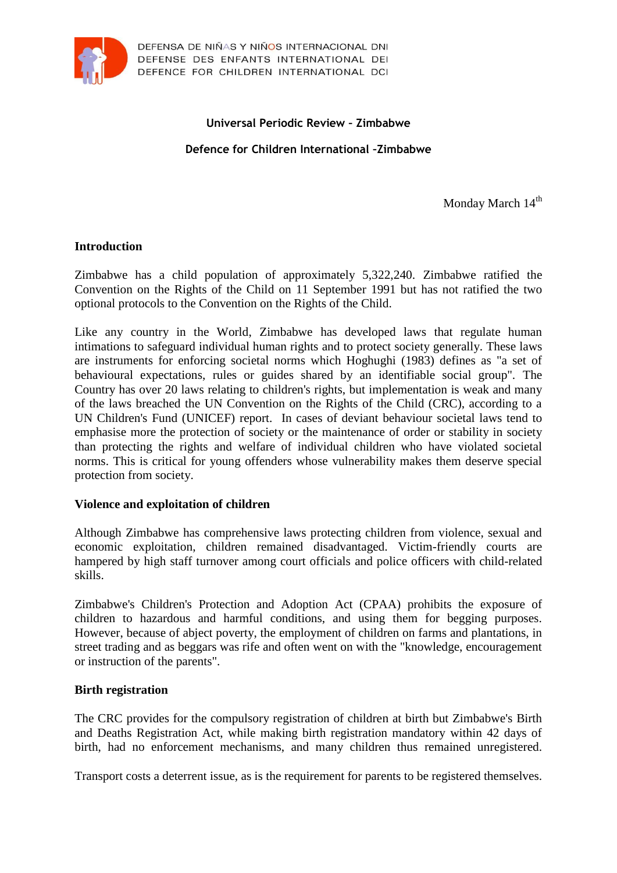

## **Universal Periodic Review – Zimbabwe**

**Defence for Children International –Zimbabwe**

Monday March 14<sup>th</sup>

## **Introduction**

Zimbabwe has a child population of approximately 5,322,240. Zimbabwe ratified the Convention on the Rights of the Child on 11 September 1991 but has not ratified the two optional protocols to the Convention on the Rights of the Child.

Like any country in the World, Zimbabwe has developed laws that regulate human intimations to safeguard individual human rights and to protect society generally. These laws are instruments for enforcing societal norms which Hoghughi (1983) defines as "a set of behavioural expectations, rules or guides shared by an identifiable social group". The Country has over 20 laws relating to children's rights, but implementation is weak and many of the laws breached the UN Convention on the Rights of the Child (CRC), according to a UN Children's Fund (UNICEF) report. In cases of deviant behaviour societal laws tend to emphasise more the protection of society or the maintenance of order or stability in society than protecting the rights and welfare of individual children who have violated societal norms. This is critical for young offenders whose vulnerability makes them deserve special protection from society.

#### **Violence and exploitation of children**

Although Zimbabwe has comprehensive laws protecting children from violence, sexual and economic exploitation, children remained disadvantaged. Victim-friendly courts are hampered by high staff turnover among court officials and police officers with child-related skills.

Zimbabwe's Children's Protection and Adoption Act (CPAA) prohibits the exposure of children to hazardous and harmful conditions, and using them for begging purposes. However, because of abject poverty, the employment of children on farms and plantations, in street trading and as beggars was rife and often went on with the "knowledge, encouragement or instruction of the parents".

## **Birth registration**

The CRC provides for the compulsory registration of children at birth but Zimbabwe's Birth and Deaths Registration Act, while making birth registration mandatory within 42 days of birth, had no enforcement mechanisms, and many children thus remained unregistered.

Transport costs a deterrent issue, as is the requirement for parents to be registered themselves.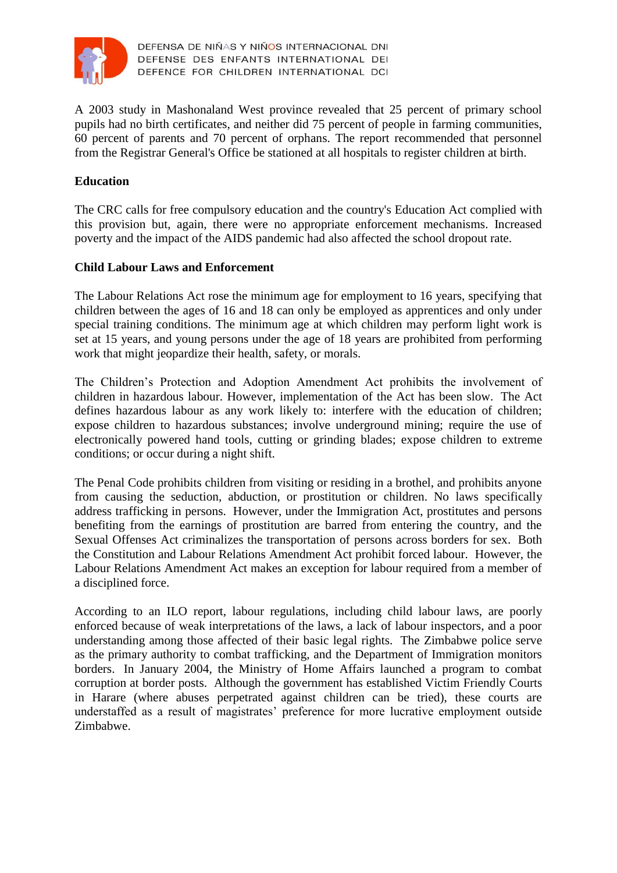

A 2003 study in Mashonaland West province revealed that 25 percent of primary school pupils had no birth certificates, and neither did 75 percent of people in farming communities, 60 percent of parents and 70 percent of orphans. The report recommended that personnel from the Registrar General's Office be stationed at all hospitals to register children at birth.

# **Education**

The CRC calls for free compulsory education and the country's Education Act complied with this provision but, again, there were no appropriate enforcement mechanisms. Increased poverty and the impact of the AIDS pandemic had also affected the school dropout rate.

## **Child Labour Laws and Enforcement**

The Labour Relations Act rose the minimum age for employment to 16 years, specifying that children between the ages of 16 and 18 can only be employed as apprentices and only under special training conditions. The minimum age at which children may perform light work is set at 15 years, and young persons under the age of 18 years are prohibited from performing work that might jeopardize their health, safety, or morals.

The Children's Protection and Adoption Amendment Act prohibits the involvement of children in hazardous labour. However, implementation of the Act has been slow. The Act defines hazardous labour as any work likely to: interfere with the education of children; expose children to hazardous substances; involve underground mining; require the use of electronically powered hand tools, cutting or grinding blades; expose children to extreme conditions; or occur during a night shift.

The Penal Code prohibits children from visiting or residing in a brothel, and prohibits anyone from causing the seduction, abduction, or prostitution or children. No laws specifically address trafficking in persons. However, under the Immigration Act, prostitutes and persons benefiting from the earnings of prostitution are barred from entering the country, and the Sexual Offenses Act criminalizes the transportation of persons across borders for sex. Both the Constitution and Labour Relations Amendment Act prohibit forced labour. However, the Labour Relations Amendment Act makes an exception for labour required from a member of a disciplined force.

According to an ILO report, labour regulations, including child labour laws, are poorly enforced because of weak interpretations of the laws, a lack of labour inspectors, and a poor understanding among those affected of their basic legal rights. The Zimbabwe police serve as the primary authority to combat trafficking, and the Department of Immigration monitors borders. In January 2004, the Ministry of Home Affairs launched a program to combat corruption at border posts. Although the government has established Victim Friendly Courts in Harare (where abuses perpetrated against children can be tried), these courts are understaffed as a result of magistrates' preference for more lucrative employment outside Zimbabwe.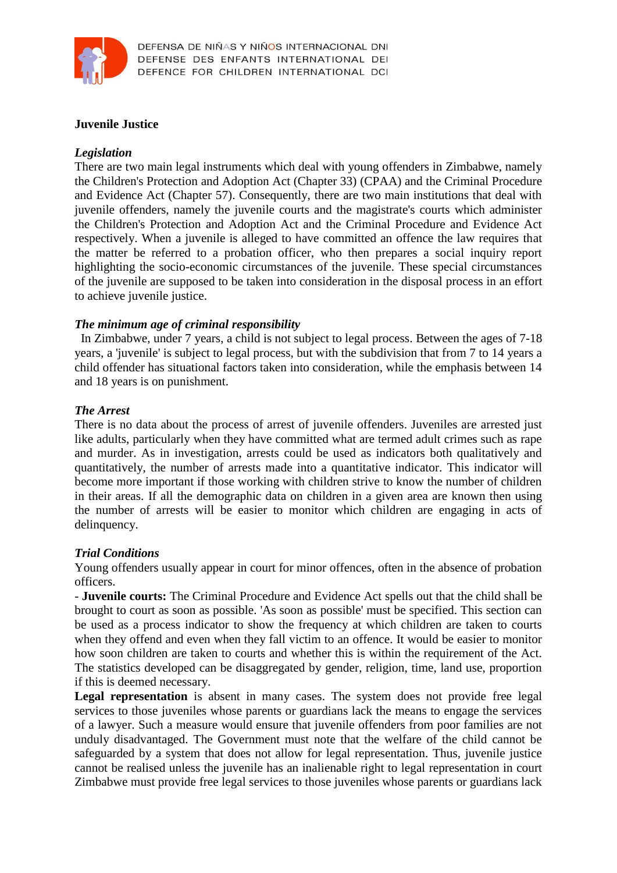

## **Juvenile Justice**

#### *Legislation*

There are two main legal instruments which deal with young offenders in Zimbabwe, namely the Children's Protection and Adoption Act (Chapter 33) (CPAA) and the Criminal Procedure and Evidence Act (Chapter 57). Consequently, there are two main institutions that deal with juvenile offenders, namely the juvenile courts and the magistrate's courts which administer the Children's Protection and Adoption Act and the Criminal Procedure and Evidence Act respectively. When a juvenile is alleged to have committed an offence the law requires that the matter be referred to a probation officer, who then prepares a social inquiry report highlighting the socio-economic circumstances of the juvenile. These special circumstances of the juvenile are supposed to be taken into consideration in the disposal process in an effort to achieve juvenile justice.

## *The minimum age of criminal responsibility*

In Zimbabwe, under 7 years, a child is not subject to legal process. Between the ages of 7-18 years, a 'juvenile' is subject to legal process, but with the subdivision that from 7 to 14 years a child offender has situational factors taken into consideration, while the emphasis between 14 and 18 years is on punishment.

#### *The Arrest*

There is no data about the process of arrest of juvenile offenders. Juveniles are arrested just like adults, particularly when they have committed what are termed adult crimes such as rape and murder. As in investigation, arrests could be used as indicators both qualitatively and quantitatively, the number of arrests made into a quantitative indicator. This indicator will become more important if those working with children strive to know the number of children in their areas. If all the demographic data on children in a given area are known then using the number of arrests will be easier to monitor which children are engaging in acts of delinquency.

#### *Trial Conditions*

Young offenders usually appear in court for minor offences, often in the absence of probation officers.

- **Juvenile courts:** The Criminal Procedure and Evidence Act spells out that the child shall be brought to court as soon as possible. 'As soon as possible' must be specified. This section can be used as a process indicator to show the frequency at which children are taken to courts when they offend and even when they fall victim to an offence. It would be easier to monitor how soon children are taken to courts and whether this is within the requirement of the Act. The statistics developed can be disaggregated by gender, religion, time, land use, proportion if this is deemed necessary.

**Legal representation** is absent in many cases. The system does not provide free legal services to those juveniles whose parents or guardians lack the means to engage the services of a lawyer. Such a measure would ensure that juvenile offenders from poor families are not unduly disadvantaged. The Government must note that the welfare of the child cannot be safeguarded by a system that does not allow for legal representation. Thus, juvenile justice cannot be realised unless the juvenile has an inalienable right to legal representation in court Zimbabwe must provide free legal services to those juveniles whose parents or guardians lack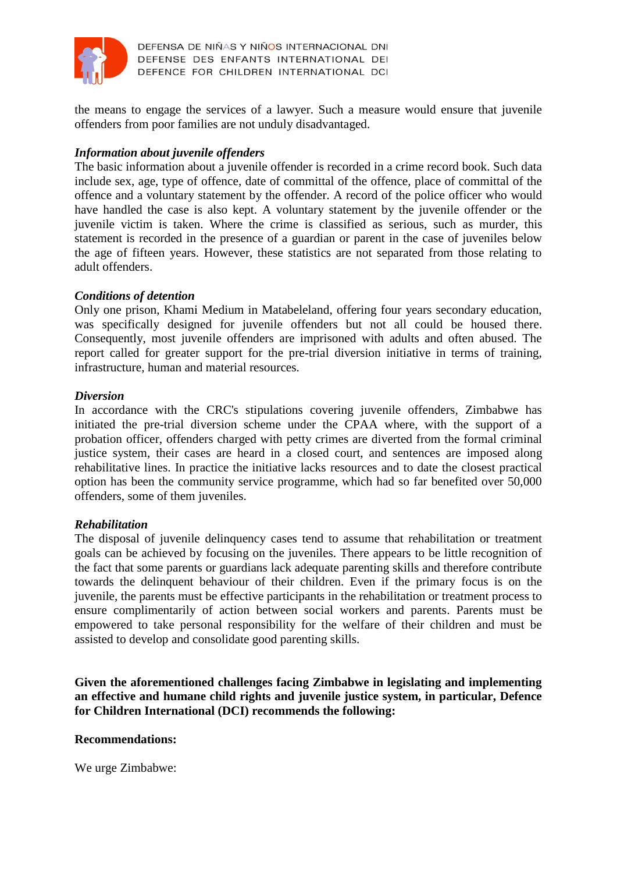

the means to engage the services of a lawyer. Such a measure would ensure that juvenile offenders from poor families are not unduly disadvantaged.

## *Information about juvenile offenders*

The basic information about a juvenile offender is recorded in a crime record book. Such data include sex, age, type of offence, date of committal of the offence, place of committal of the offence and a voluntary statement by the offender. A record of the police officer who would have handled the case is also kept. A voluntary statement by the juvenile offender or the juvenile victim is taken. Where the crime is classified as serious, such as murder, this statement is recorded in the presence of a guardian or parent in the case of juveniles below the age of fifteen years. However, these statistics are not separated from those relating to adult offenders.

## *Conditions of detention*

Only one prison, Khami Medium in Matabeleland, offering four years secondary education, was specifically designed for juvenile offenders but not all could be housed there. Consequently, most juvenile offenders are imprisoned with adults and often abused. The report called for greater support for the pre-trial diversion initiative in terms of training, infrastructure, human and material resources.

## *Diversion*

In accordance with the CRC's stipulations covering juvenile offenders, Zimbabwe has initiated the pre-trial diversion scheme under the CPAA where, with the support of a probation officer, offenders charged with petty crimes are diverted from the formal criminal justice system, their cases are heard in a closed court, and sentences are imposed along rehabilitative lines. In practice the initiative lacks resources and to date the closest practical option has been the community service programme, which had so far benefited over 50,000 offenders, some of them juveniles.

## *Rehabilitation*

The disposal of juvenile delinquency cases tend to assume that rehabilitation or treatment goals can be achieved by focusing on the juveniles. There appears to be little recognition of the fact that some parents or guardians lack adequate parenting skills and therefore contribute towards the delinquent behaviour of their children. Even if the primary focus is on the juvenile, the parents must be effective participants in the rehabilitation or treatment process to ensure complimentarily of action between social workers and parents. Parents must be empowered to take personal responsibility for the welfare of their children and must be assisted to develop and consolidate good parenting skills.

**Given the aforementioned challenges facing Zimbabwe in legislating and implementing an effective and humane child rights and juvenile justice system, in particular, Defence for Children International (DCI) recommends the following:**

## **Recommendations:**

We urge Zimbabwe: